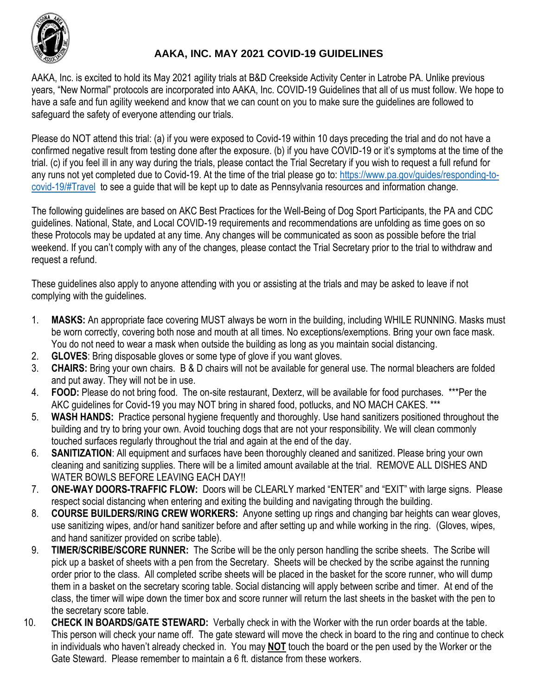

## **AAKA, INC. MAY 2021 COVID-19 GUIDELINES**

AAKA, Inc. is excited to hold its May 2021 agility trials at B&D Creekside Activity Center in Latrobe PA. Unlike previous years, "New Normal" protocols are incorporated into AAKA, Inc. COVID-19 Guidelines that all of us must follow. We hope to have a safe and fun agility weekend and know that we can count on you to make sure the guidelines are followed to safeguard the safety of everyone attending our trials.

Please do NOT attend this trial: (a) if you were exposed to Covid-19 within 10 days preceding the trial and do not have a confirmed negative result from testing done after the exposure. (b) if you have COVID-19 or it's symptoms at the time of the trial. (c) if you feel ill in any way during the trials, please contact the Trial Secretary if you wish to request a full refund for any runs not yet completed due to Covid-19. At the time of the trial please go to[: https://www.pa.gov/guides/responding-to](https://www.pa.gov/guides/responding-to-covid-19/#Travel)[covid-19/#Travel](https://www.pa.gov/guides/responding-to-covid-19/#Travel) to see a guide that will be kept up to date as Pennsylvania resources and information change.

The following guidelines are based on AKC Best Practices for the Well-Being of Dog Sport Participants, the PA and CDC guidelines. National, State, and Local COVID-19 requirements and recommendations are unfolding as time goes on so these Protocols may be updated at any time. Any changes will be communicated as soon as possible before the trial weekend. If you can't comply with any of the changes, please contact the Trial Secretary prior to the trial to withdraw and request a refund.

These guidelines also apply to anyone attending with you or assisting at the trials and may be asked to leave if not complying with the guidelines.

- 1. **MASKS:** An appropriate face covering MUST always be worn in the building, including WHILE RUNNING. Masks must be worn correctly, covering both nose and mouth at all times. No exceptions/exemptions. Bring your own face mask. You do not need to wear a mask when outside the building as long as you maintain social distancing.
- 2. **GLOVES**: Bring disposable gloves or some type of glove if you want gloves.
- 3. **CHAIRS:** Bring your own chairs. B & D chairs will not be available for general use. The normal bleachers are folded and put away. They will not be in use.
- 4. **FOOD:** Please do not bring food. The on-site restaurant, Dexterz, will be available for food purchases. \*\*\*Per the AKC guidelines for Covid-19 you may NOT bring in shared food, potlucks, and NO MACH CAKES. \*\*\*
- 5. **WASH HANDS:** Practice personal hygiene frequently and thoroughly. Use hand sanitizers positioned throughout the building and try to bring your own. Avoid touching dogs that are not your responsibility. We will clean commonly touched surfaces regularly throughout the trial and again at the end of the day.
- 6. **SANITIZATION**: All equipment and surfaces have been thoroughly cleaned and sanitized. Please bring your own cleaning and sanitizing supplies. There will be a limited amount available at the trial. REMOVE ALL DISHES AND WATER BOWLS BEFORE LEAVING EACH DAY!!
- 7. **ONE-WAY DOORS-TRAFFIC FLOW:** Doors will be CLEARLY marked "ENTER" and "EXIT" with large signs. Please respect social distancing when entering and exiting the building and navigating through the building.
- 8. **COURSE BUILDERS/RING CREW WORKERS:** Anyone setting up rings and changing bar heights can wear gloves, use sanitizing wipes, and/or hand sanitizer before and after setting up and while working in the ring. (Gloves, wipes, and hand sanitizer provided on scribe table).
- 9. **TIMER/SCRIBE/SCORE RUNNER:** The Scribe will be the only person handling the scribe sheets. The Scribe will pick up a basket of sheets with a pen from the Secretary. Sheets will be checked by the scribe against the running order prior to the class. All completed scribe sheets will be placed in the basket for the score runner, who will dump them in a basket on the secretary scoring table. Social distancing will apply between scribe and timer. At end of the class, the timer will wipe down the timer box and score runner will return the last sheets in the basket with the pen to the secretary score table.
- 10. **CHECK IN BOARDS/GATE STEWARD:** Verbally check in with the Worker with the run order boards at the table. This person will check your name off. The gate steward will move the check in board to the ring and continue to check in individuals who haven't already checked in. You may **NOT** touch the board or the pen used by the Worker or the Gate Steward. Please remember to maintain a 6 ft. distance from these workers.